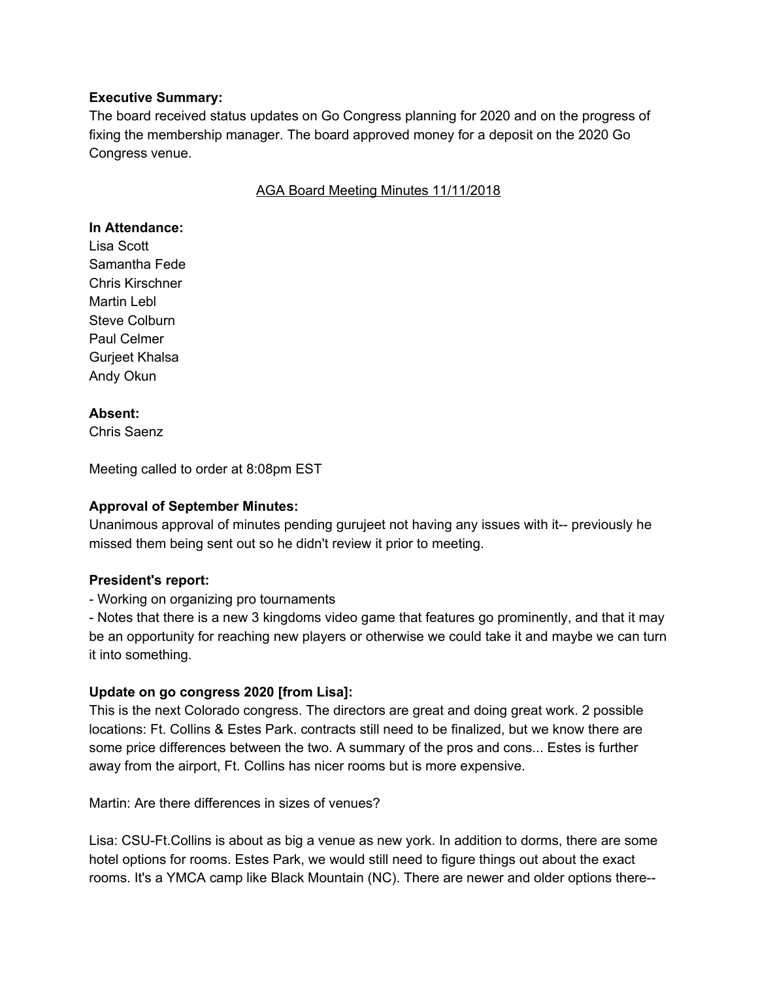## **Executive Summary:**

The board received status updates on Go Congress planning for 2020 and on the progress of fixing the membership manager. The board approved money for a deposit on the 2020 Go Congress venue.

# AGA Board Meeting Minutes 11/11/2018

## **In Attendance:**

Lisa Scott Samantha Fede Chris Kirschner Martin Lebl Steve Colburn Paul Celmer Gurjeet Khalsa Andy Okun

## **Absent:**

Chris Saenz

Meeting called to order at 8:08pm EST

## **Approval of September Minutes:**

Unanimous approval of minutes pending gurujeet not having any issues with it-- previously he missed them being sent out so he didn't review it prior to meeting.

#### **President's report:**

- Working on organizing pro tournaments

- Notes that there is a new 3 kingdoms video game that features go prominently, and that it may be an opportunity for reaching new players or otherwise we could take it and maybe we can turn it into something.

## **Update on go congress 2020 [from Lisa]:**

This is the next Colorado congress. The directors are great and doing great work. 2 possible locations: Ft. Collins & Estes Park. contracts still need to be finalized, but we know there are some price differences between the two. A summary of the pros and cons... Estes is further away from the airport, Ft. Collins has nicer rooms but is more expensive.

Martin: Are there differences in sizes of venues?

Lisa: CSU-Ft.Collins is about as big a venue as new york. In addition to dorms, there are some hotel options for rooms. Estes Park, we would still need to figure things out about the exact rooms. It's a YMCA camp like Black Mountain (NC). There are newer and older options there--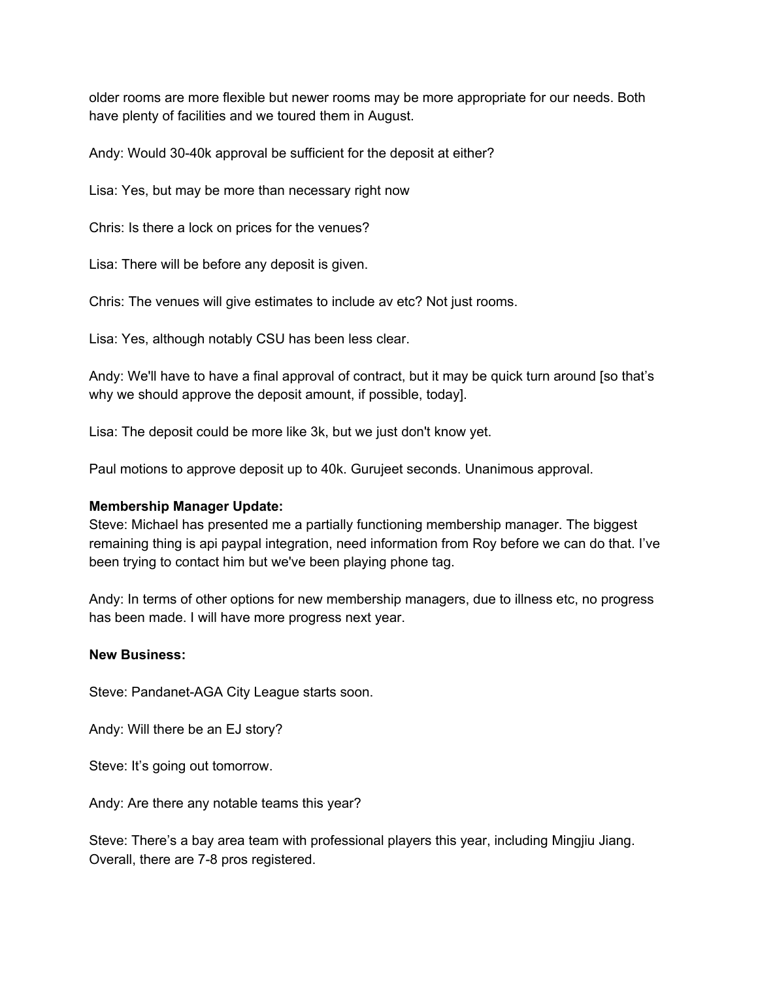older rooms are more flexible but newer rooms may be more appropriate for our needs. Both have plenty of facilities and we toured them in August.

Andy: Would 30-40k approval be sufficient for the deposit at either?

Lisa: Yes, but may be more than necessary right now

Chris: Is there a lock on prices for the venues?

Lisa: There will be before any deposit is given.

Chris: The venues will give estimates to include av etc? Not just rooms.

Lisa: Yes, although notably CSU has been less clear.

Andy: We'll have to have a final approval of contract, but it may be quick turn around [so that's why we should approve the deposit amount, if possible, today].

Lisa: The deposit could be more like 3k, but we just don't know yet.

Paul motions to approve deposit up to 40k. Gurujeet seconds. Unanimous approval.

## **Membership Manager Update:**

Steve: Michael has presented me a partially functioning membership manager. The biggest remaining thing is api paypal integration, need information from Roy before we can do that. I've been trying to contact him but we've been playing phone tag.

Andy: In terms of other options for new membership managers, due to illness etc, no progress has been made. I will have more progress next year.

## **New Business:**

Steve: Pandanet-AGA City League starts soon.

Andy: Will there be an EJ story?

Steve: It's going out tomorrow.

Andy: Are there any notable teams this year?

Steve: There's a bay area team with professional players this year, including Mingjiu Jiang. Overall, there are 7-8 pros registered.